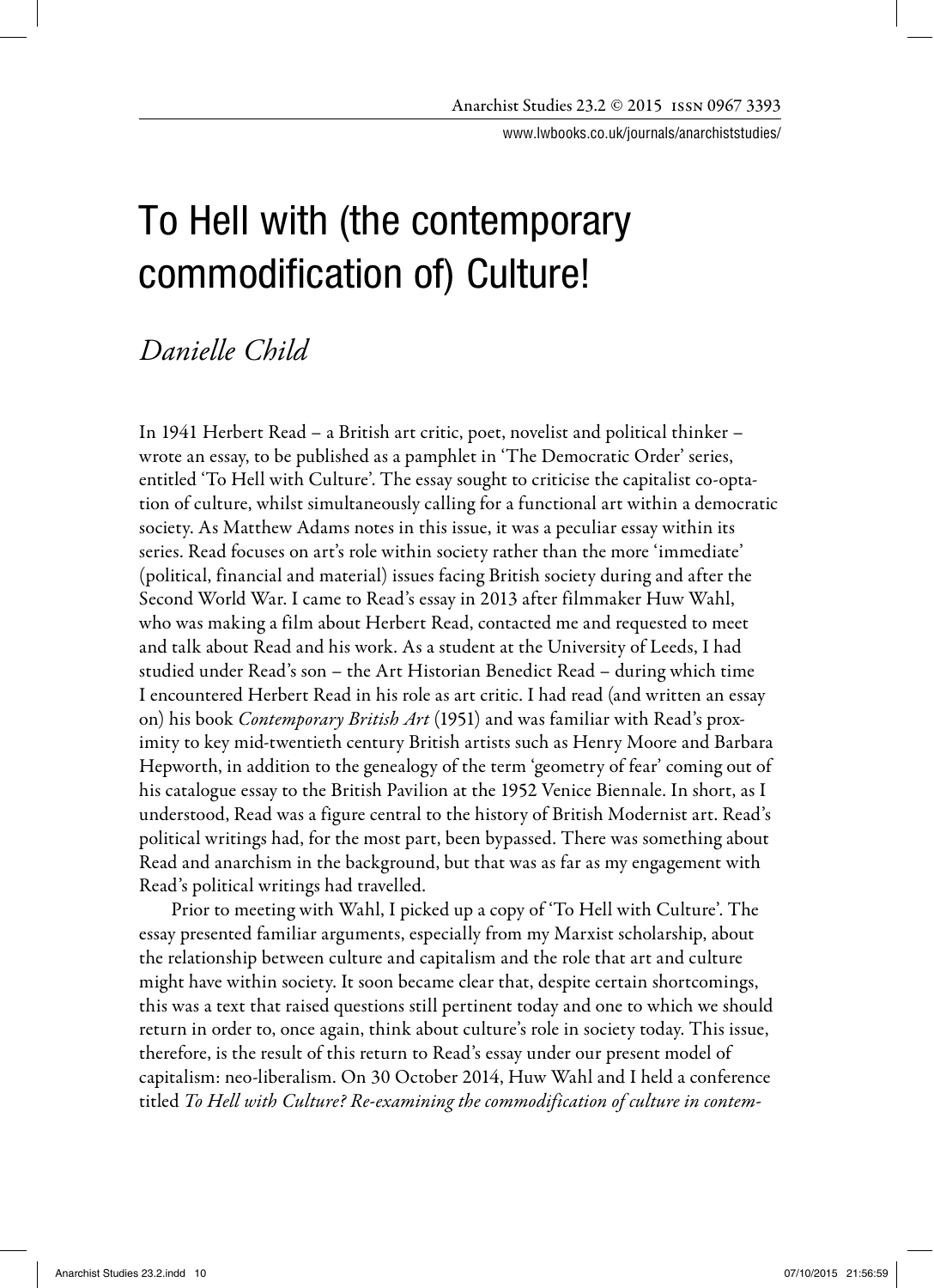www.lwbooks.co.uk/journals/anarchiststudies/

# To Hell with (the contemporary commodification of) Culture!

# *Danielle Child*

In 1941 Herbert Read – a British art critic, poet, novelist and political thinker – wrote an essay, to be published as a pamphlet in 'The Democratic Order' series, entitled 'To Hell with Culture'. The essay sought to criticise the capitalist co-optation of culture, whilst simultaneously calling for a functional art within a democratic society. As Matthew Adams notes in this issue, it was a peculiar essay within its series. Read focuses on art's role within society rather than the more 'immediate' (political, financial and material) issues facing British society during and after the Second World War. I came to Read's essay in 2013 after filmmaker Huw Wahl, who was making a film about Herbert Read, contacted me and requested to meet and talk about Read and his work. As a student at the University of Leeds, I had studied under Read's son – the Art Historian Benedict Read – during which time I encountered Herbert Read in his role as art critic. I had read (and written an essay on) his book *Contemporary British Art* (1951) and was familiar with Read's proximity to key mid-twentieth century British artists such as Henry Moore and Barbara Hepworth, in addition to the genealogy of the term 'geometry of fear' coming out of his catalogue essay to the British Pavilion at the 1952 Venice Biennale. In short, as I understood, Read was a figure central to the history of British Modernist art. Read's political writings had, for the most part, been bypassed. There was something about Read and anarchism in the background, but that was as far as my engagement with Read's political writings had travelled.

 Prior to meeting with Wahl, I picked up a copy of 'To Hell with Culture'. The essay presented familiar arguments, especially from my Marxist scholarship, about the relationship between culture and capitalism and the role that art and culture might have within society. It soon became clear that, despite certain shortcomings, this was a text that raised questions still pertinent today and one to which we should return in order to, once again, think about culture's role in society today. This issue, therefore, is the result of this return to Read's essay under our present model of capitalism: neo-liberalism. On 30 October 2014, Huw Wahl and I held a conference titled To Hell with Culture? Re-examining the commodification of culture in contem-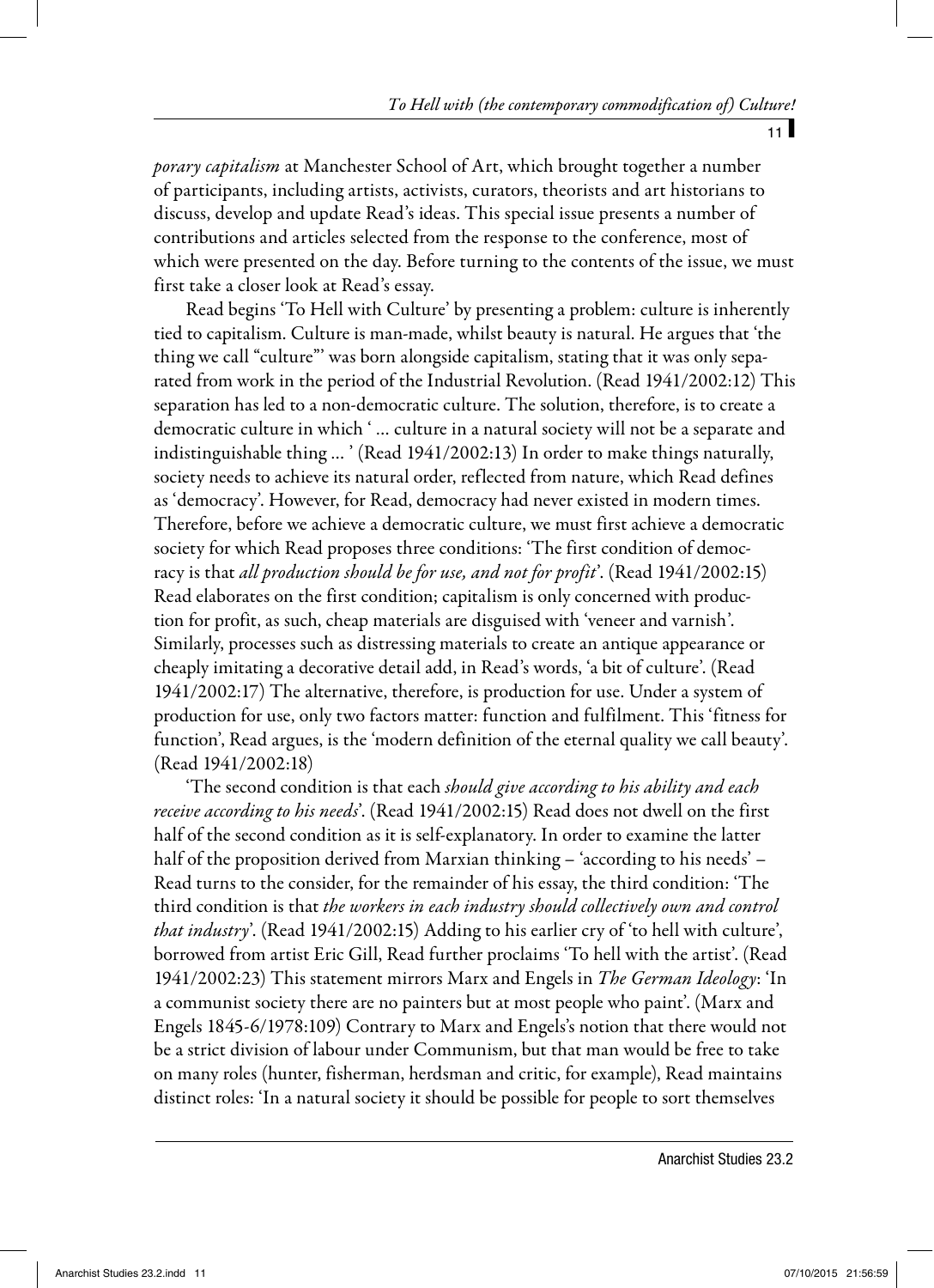$11$ 

porary capitalism at Manchester School of Art, which brought together a number of participants, including artists, activists, curators, theorists and art historians to discuss, develop and update Read's ideas. This special issue presents a number of contributions and articles selected from the response to the conference, most of which were presented on the day. Before turning to the contents of the issue, we must first take a closer look at Read's essay.

Read begins 'To Hell with Culture' by presenting a problem: culture is inherently tied to capitalism. Culture is man-made, whilst beauty is natural. He argues that 'the thing we call "culture"' was born alongside capitalism, stating that it was only separated from work in the period of the Industrial Revolution. (Read 1941/2002:12) This separation has led to a non-democratic culture. The solution, therefore, is to create a democratic culture in which ' … culture in a natural society will not be a separate and indistinguishable thing … ' (Read 1941/2002:13) In order to make things naturally, society needs to achieve its natural order, reflected from nature, which Read defines as 'democracy'. However, for Read, democracy had never existed in modern times. Therefore, before we achieve a democratic culture, we must first achieve a democratic society for which Read proposes three conditions: 'The first condition of democracy is that all production should be for use, and not for profit'. (Read 1941/2002:15) Read elaborates on the first condition; capitalism is only concerned with production for profit, as such, cheap materials are disguised with 'veneer and varnish'. Similarly, processes such as distressing materials to create an antique appearance or cheaply imitating a decorative detail add, in Read's words, 'a bit of culture'. (Read 1941/2002:17) The alternative, therefore, is production for use. Under a system of production for use, only two factors matter: function and fulfilment. This 'fitness for function', Read argues, is the 'modern definition of the eternal quality we call beauty'. (Read 1941/2002:18)

The second condition is that each *should give according to his ability and each* receive according to his needs'. (Read 1941/2002:15) Read does not dwell on the first half of the second condition as it is self-explanatory. In order to examine the latter half of the proposition derived from Marxian thinking – 'according to his needs' – Read turns to the consider, for the remainder of his essay, the third condition: 'The third condition is that the workers in each industry should collectively own and control that industry'. (Read 1941/2002:15) Adding to his earlier cry of 'to hell with culture', borrowed from artist Eric Gill, Read further proclaims 'To hell with the artist'. (Read 1941/2002:23) This statement mirrors Marx and Engels in The German Ideology: 'In a communist society there are no painters but at most people who paint'. (Marx and Engels 1845-6/1978:109) Contrary to Marx and Engels's notion that there would not be a strict division of labour under Communism, but that man would be free to take on many roles (hunter, fisherman, herdsman and critic, for example), Read maintains distinct roles: 'In a natural society it should be possible for people to sort themselves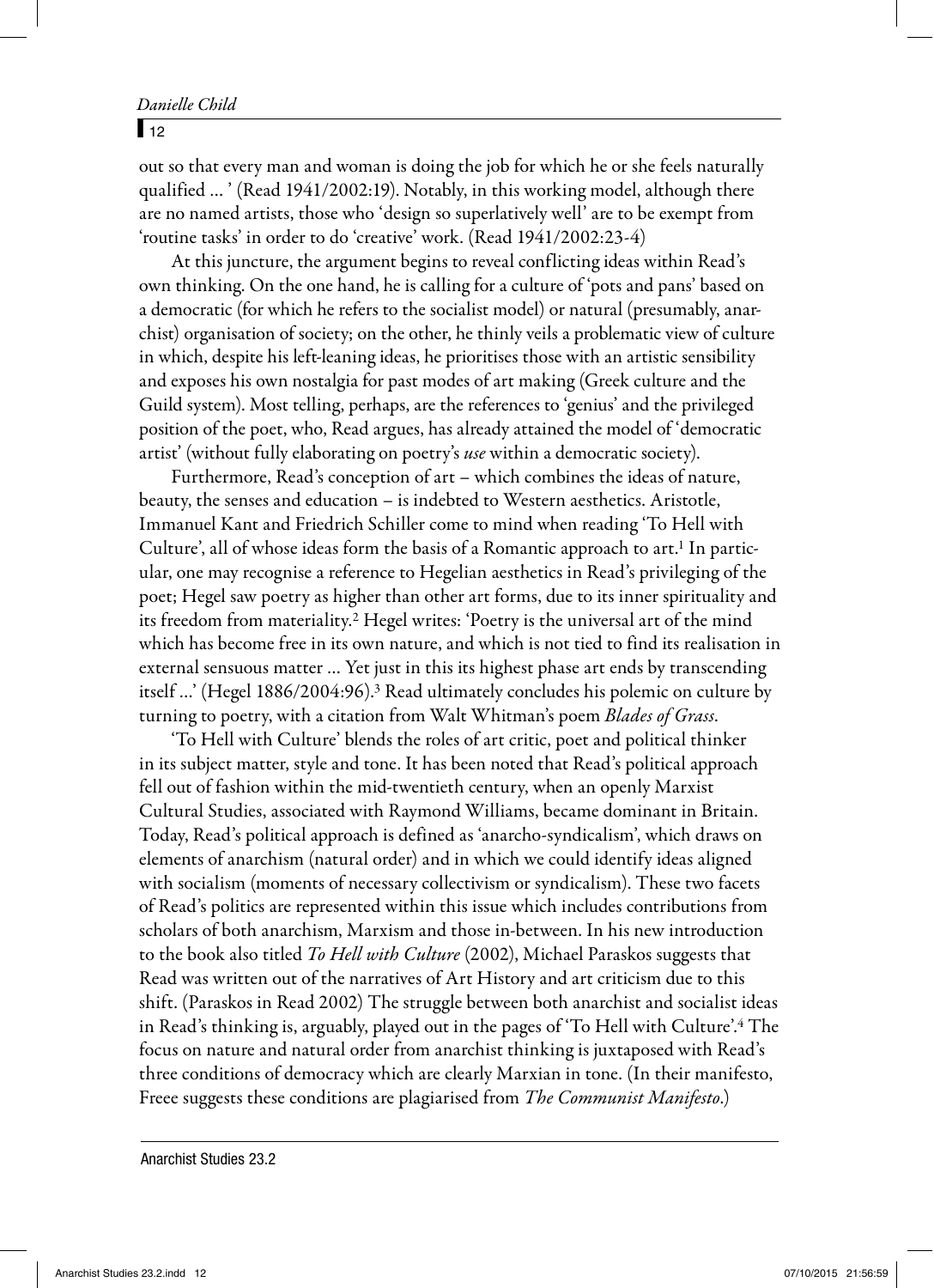#### Danielle Child

#### $\sqrt{12}$

out so that every man and woman is doing the job for which he or she feels naturally qualified … ' (Read 1941/2002:19). Notably, in this working model, although there are no named artists, those who 'design so superlatively well' are to be exempt from 'routine tasks' in order to do 'creative' work. (Read 1941/2002:23-4)

At this juncture, the argument begins to reveal conflicting ideas within Read's own thinking. On the one hand, he is calling for a culture of 'pots and pans' based on a democratic (for which he refers to the socialist model) or natural (presumably, anarchist) organisation of society; on the other, he thinly veils a problematic view of culture in which, despite his left-leaning ideas, he prioritises those with an artistic sensibility and exposes his own nostalgia for past modes of art making (Greek culture and the Guild system). Most telling, perhaps, are the references to 'genius' and the privileged position of the poet, who, Read argues, has already attained the model of 'democratic artist' (without fully elaborating on poetry's *use* within a democratic society).

Furthermore, Read's conception of art – which combines the ideas of nature, beauty, the senses and education – is indebted to Western aesthetics. Aristotle, Immanuel Kant and Friedrich Schiller come to mind when reading 'To Hell with Culture', all of whose ideas form the basis of a Romantic approach to art.<sup>1</sup> In particular, one may recognise a reference to Hegelian aesthetics in Read's privileging of the poet; Hegel saw poetry as higher than other art forms, due to its inner spirituality and its freedom from materiality.<sup>2</sup> Hegel writes: 'Poetry is the universal art of the mind which has become free in its own nature, and which is not tied to find its realisation in external sensuous matter … Yet just in this its highest phase art ends by transcending itself …' (Hegel 1886/2004:96).3 Read ultimately concludes his polemic on culture by turning to poetry, with a citation from Walt Whitman's poem *Blades of Grass*.

'To Hell with Culture' blends the roles of art critic, poet and political thinker in its subject matter, style and tone. It has been noted that Read's political approach fell out of fashion within the mid-twentieth century, when an openly Marxist Cultural Studies, associated with Raymond Williams, became dominant in Britain. Today, Read's political approach is defined as 'anarcho-syndicalism', which draws on elements of anarchism (natural order) and in which we could identify ideas aligned with socialism (moments of necessary collectivism or syndicalism). These two facets of Read's politics are represented within this issue which includes contributions from scholars of both anarchism, Marxism and those in-between. In his new introduction to the book also titled To Hell with Culture (2002), Michael Paraskos suggests that Read was written out of the narratives of Art History and art criticism due to this shift. (Paraskos in Read 2002) The struggle between both anarchist and socialist ideas in Read's thinking is, arguably, played out in the pages of 'To Hell with Culture'.4 The focus on nature and natural order from anarchist thinking is juxtaposed with Read's three conditions of democracy which are clearly Marxian in tone. (In their manifesto, Freee suggests these conditions are plagiarised from The Communist Manifesto.)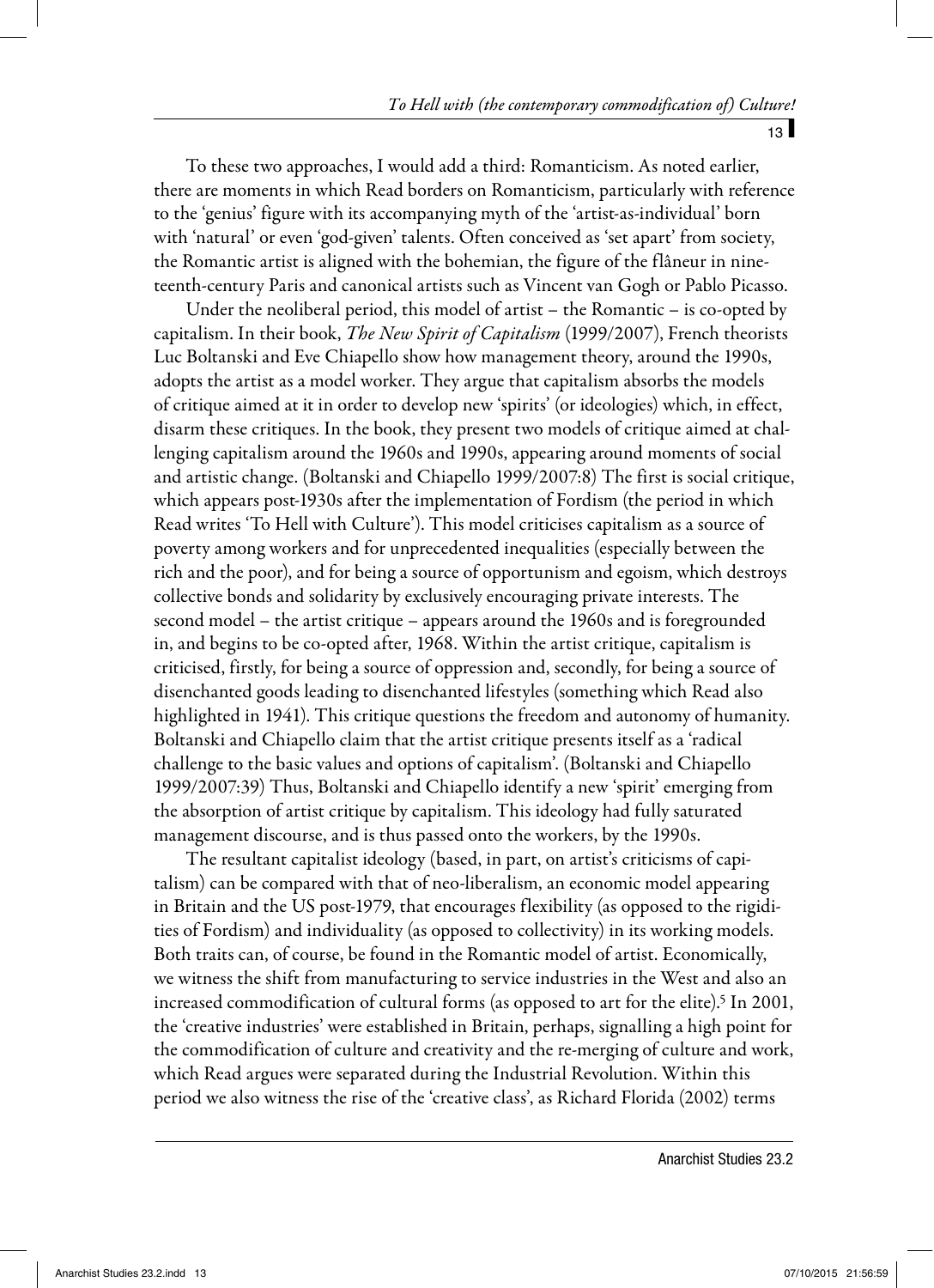$13<sup>1</sup>$ 

To these two approaches, I would add a third: Romanticism. As noted earlier, there are moments in which Read borders on Romanticism, particularly with reference to the 'genius' figure with its accompanying myth of the 'artist-as-individual' born with 'natural' or even 'god-given' talents. Often conceived as 'set apart' from society, the Romantic artist is aligned with the bohemian, the figure of the flâneur in nineteenth-century Paris and canonical artists such as Vincent van Gogh or Pablo Picasso.

Under the neoliberal period, this model of artist – the Romantic – is co-opted by capitalism. In their book, *The New Spirit of Capitalism* (1999/2007), French theorists Luc Boltanski and Eve Chiapello show how management theory, around the 1990s, adopts the artist as a model worker. They argue that capitalism absorbs the models of critique aimed at it in order to develop new 'spirits' (or ideologies) which, in effect, disarm these critiques. In the book, they present two models of critique aimed at challenging capitalism around the 1960s and 1990s, appearing around moments of social and artistic change. (Boltanski and Chiapello 1999/2007:8) The first is social critique, which appears post-1930s after the implementation of Fordism (the period in which Read writes 'To Hell with Culture'). This model criticises capitalism as a source of poverty among workers and for unprecedented inequalities (especially between the rich and the poor), and for being a source of opportunism and egoism, which destroys collective bonds and solidarity by exclusively encouraging private interests. The second model – the artist critique – appears around the 1960s and is foregrounded in, and begins to be co-opted after, 1968. Within the artist critique, capitalism is criticised, firstly, for being a source of oppression and, secondly, for being a source of disenchanted goods leading to disenchanted lifestyles (something which Read also highlighted in 1941). This critique questions the freedom and autonomy of humanity. Boltanski and Chiapello claim that the artist critique presents itself as a 'radical challenge to the basic values and options of capitalism'. (Boltanski and Chiapello 1999/2007:39) Thus, Boltanski and Chiapello identify a new 'spirit' emerging from the absorption of artist critique by capitalism. This ideology had fully saturated management discourse, and is thus passed onto the workers, by the 1990s.

The resultant capitalist ideology (based, in part, on artist's criticisms of capitalism) can be compared with that of neo-liberalism, an economic model appearing in Britain and the US post-1979, that encourages flexibility (as opposed to the rigidities of Fordism) and individuality (as opposed to collectivity) in its working models. Both traits can, of course, be found in the Romantic model of artist. Economically, we witness the shift from manufacturing to service industries in the West and also an increased commodification of cultural forms (as opposed to art for the elite).<sup>5</sup> In 2001, the 'creative industries' were established in Britain, perhaps, signalling a high point for the commodification of culture and creativity and the re-merging of culture and work, which Read argues were separated during the Industrial Revolution. Within this period we also witness the rise of the 'creative class', as Richard Florida (2002) terms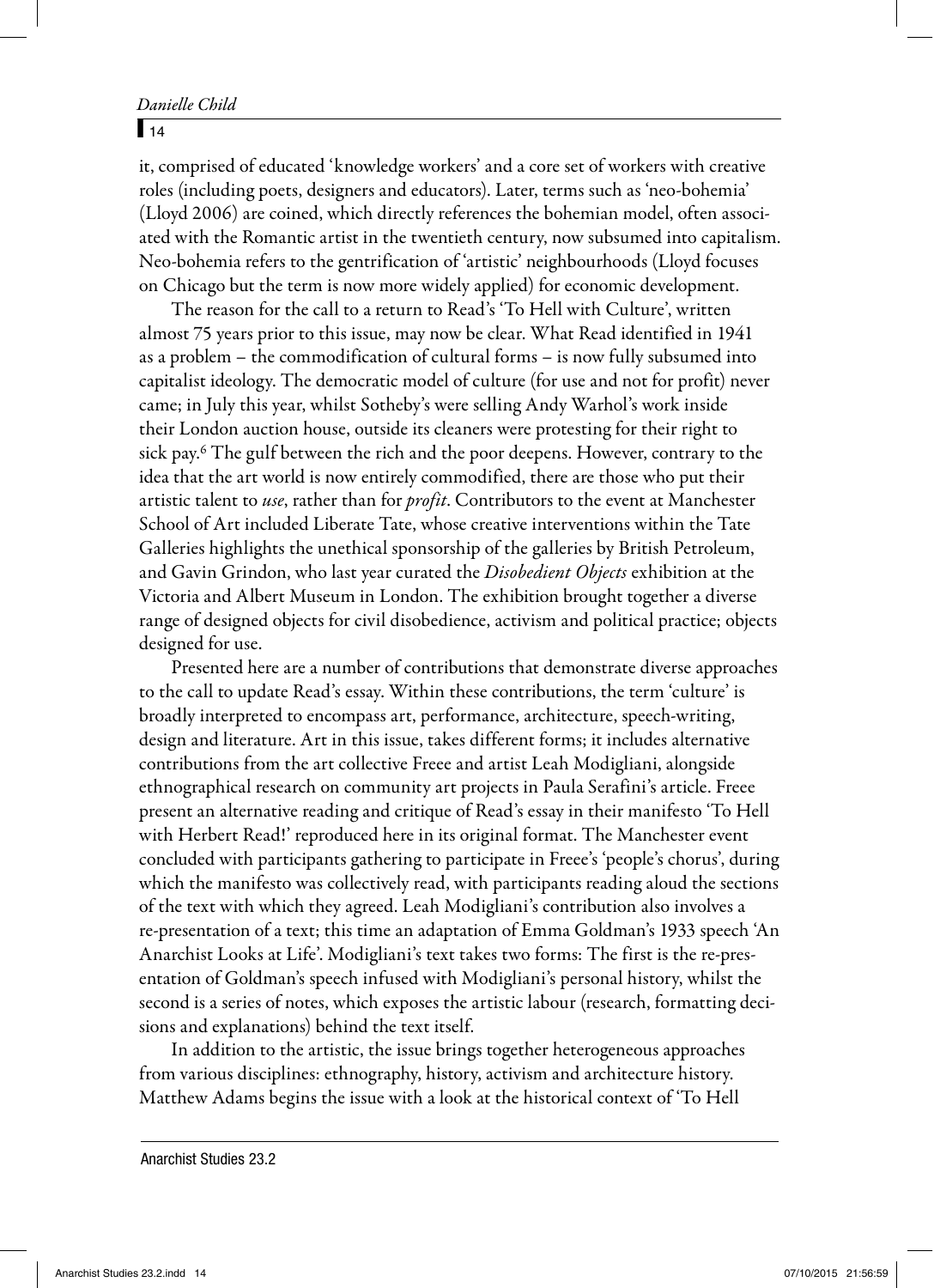#### $\sqrt{14}$

it, comprised of educated 'knowledge workers' and a core set of workers with creative roles (including poets, designers and educators). Later, terms such as 'neo-bohemia' (Lloyd 2006) are coined, which directly references the bohemian model, often associated with the Romantic artist in the twentieth century, now subsumed into capitalism. Neo-bohemia refers to the gentrification of 'artistic' neighbourhoods (Lloyd focuses on Chicago but the term is now more widely applied) for economic development.

The reason for the call to a return to Read's 'To Hell with Culture', written almost 75 years prior to this issue, may now be clear. What Read identified in 1941 as a problem – the commodification of cultural forms – is now fully subsumed into capitalist ideology. The democratic model of culture (for use and not for profit) never came; in July this year, whilst Sotheby's were selling Andy Warhol's work inside their London auction house, outside its cleaners were protesting for their right to sick pay.6 The gulf between the rich and the poor deepens. However, contrary to the idea that the art world is now entirely commodified, there are those who put their artistic talent to use, rather than for *profit*. Contributors to the event at Manchester School of Art included Liberate Tate, whose creative interventions within the Tate Galleries highlights the unethical sponsorship of the galleries by British Petroleum, and Gavin Grindon, who last year curated the *Disobedient Objects* exhibition at the Victoria and Albert Museum in London. The exhibition brought together a diverse range of designed objects for civil disobedience, activism and political practice; objects designed for use.

Presented here are a number of contributions that demonstrate diverse approaches to the call to update Read's essay. Within these contributions, the term 'culture' is broadly interpreted to encompass art, performance, architecture, speech-writing, design and literature. Art in this issue, takes different forms; it includes alternative contributions from the art collective Freee and artist Leah Modigliani, alongside ethnographical research on community art projects in Paula Serafini's article. Freee present an alternative reading and critique of Read's essay in their manifesto 'To Hell with Herbert Read!' reproduced here in its original format. The Manchester event concluded with participants gathering to participate in Freee's 'people's chorus', during which the manifesto was collectively read, with participants reading aloud the sections of the text with which they agreed. Leah Modigliani's contribution also involves a re-presentation of a text; this time an adaptation of Emma Goldman's 1933 speech 'An Anarchist Looks at Life'. Modigliani's text takes two forms: The first is the re-presentation of Goldman's speech infused with Modigliani's personal history, whilst the second is a series of notes, which exposes the artistic labour (research, formatting decisions and explanations) behind the text itself.

In addition to the artistic, the issue brings together heterogeneous approaches from various disciplines: ethnography, history, activism and architecture history. Matthew Adams begins the issue with a look at the historical context of 'To Hell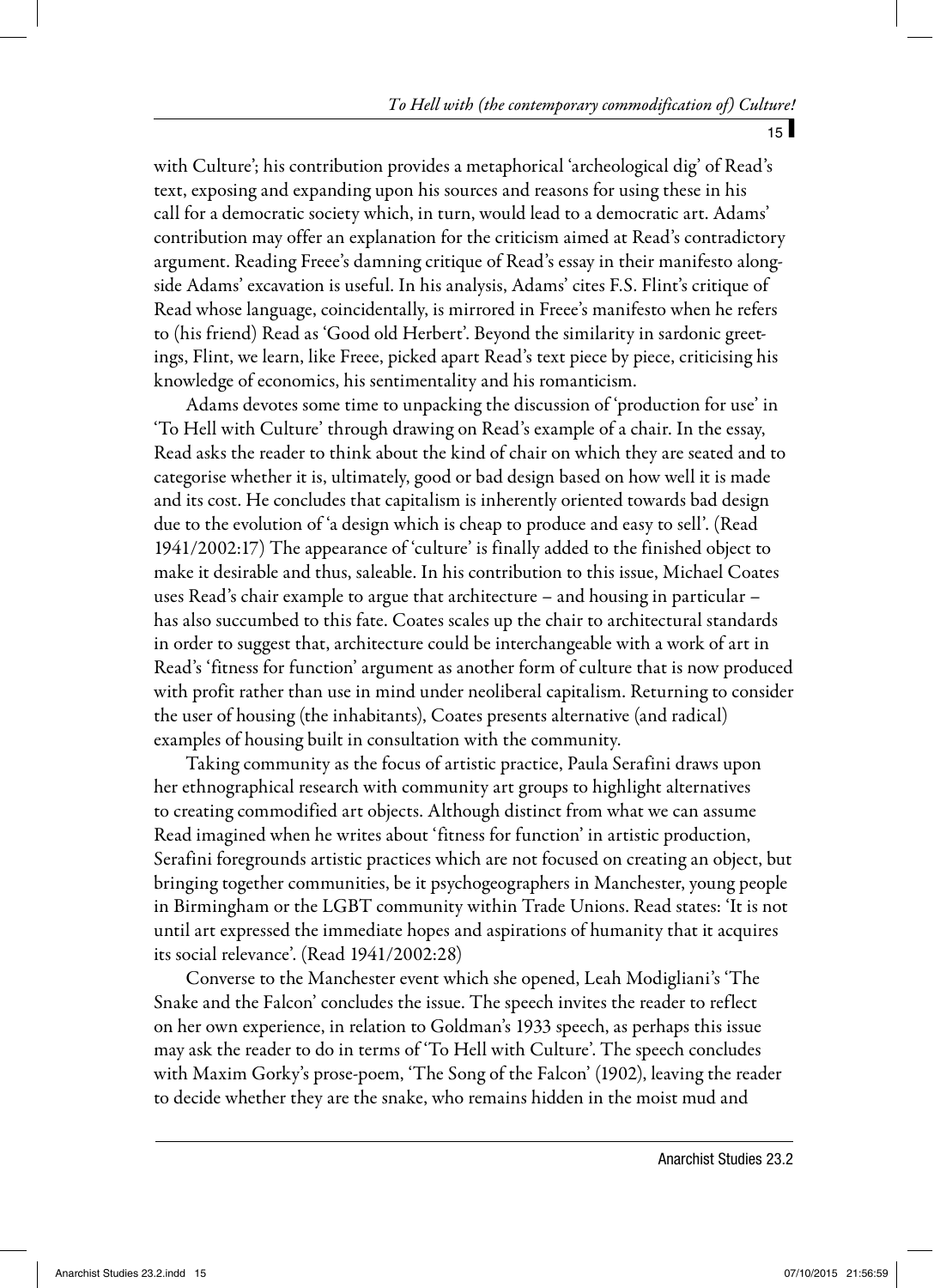$15<sup>1</sup>$ 

with Culture'; his contribution provides a metaphorical 'archeological dig' of Read's text, exposing and expanding upon his sources and reasons for using these in his call for a democratic society which, in turn, would lead to a democratic art. Adams' contribution may offer an explanation for the criticism aimed at Read's contradictory argument. Reading Freee's damning critique of Read's essay in their manifesto alongside Adams' excavation is useful. In his analysis, Adams' cites F.S. Flint's critique of Read whose language, coincidentally, is mirrored in Freee's manifesto when he refers to (his friend) Read as 'Good old Herbert'. Beyond the similarity in sardonic greetings, Flint, we learn, like Freee, picked apart Read's text piece by piece, criticising his knowledge of economics, his sentimentality and his romanticism.

Adams devotes some time to unpacking the discussion of 'production for use' in 'To Hell with Culture' through drawing on Read's example of a chair. In the essay, Read asks the reader to think about the kind of chair on which they are seated and to categorise whether it is, ultimately, good or bad design based on how well it is made and its cost. He concludes that capitalism is inherently oriented towards bad design due to the evolution of 'a design which is cheap to produce and easy to sell'. (Read 1941/2002:17) The appearance of 'culture' is finally added to the finished object to make it desirable and thus, saleable. In his contribution to this issue, Michael Coates uses Read's chair example to argue that architecture – and housing in particular – has also succumbed to this fate. Coates scales up the chair to architectural standards in order to suggest that, architecture could be interchangeable with a work of art in Read's 'fitness for function' argument as another form of culture that is now produced with profit rather than use in mind under neoliberal capitalism. Returning to consider the user of housing (the inhabitants), Coates presents alternative (and radical) examples of housing built in consultation with the community.

Taking community as the focus of artistic practice, Paula Serafini draws upon her ethnographical research with community art groups to highlight alternatives to creating commodified art objects. Although distinct from what we can assume Read imagined when he writes about 'fitness for function' in artistic production, Serafini foregrounds artistic practices which are not focused on creating an object, but bringing together communities, be it psychogeographers in Manchester, young people in Birmingham or the LGBT community within Trade Unions. Read states: 'It is not until art expressed the immediate hopes and aspirations of humanity that it acquires its social relevance'. (Read 1941/2002:28)

Converse to the Manchester event which she opened, Leah Modigliani's 'The Snake and the Falcon' concludes the issue. The speech invites the reader to reflect on her own experience, in relation to Goldman's 1933 speech, as perhaps this issue may ask the reader to do in terms of 'To Hell with Culture'. The speech concludes with Maxim Gorky's prose-poem, 'The Song of the Falcon' (1902), leaving the reader to decide whether they are the snake, who remains hidden in the moist mud and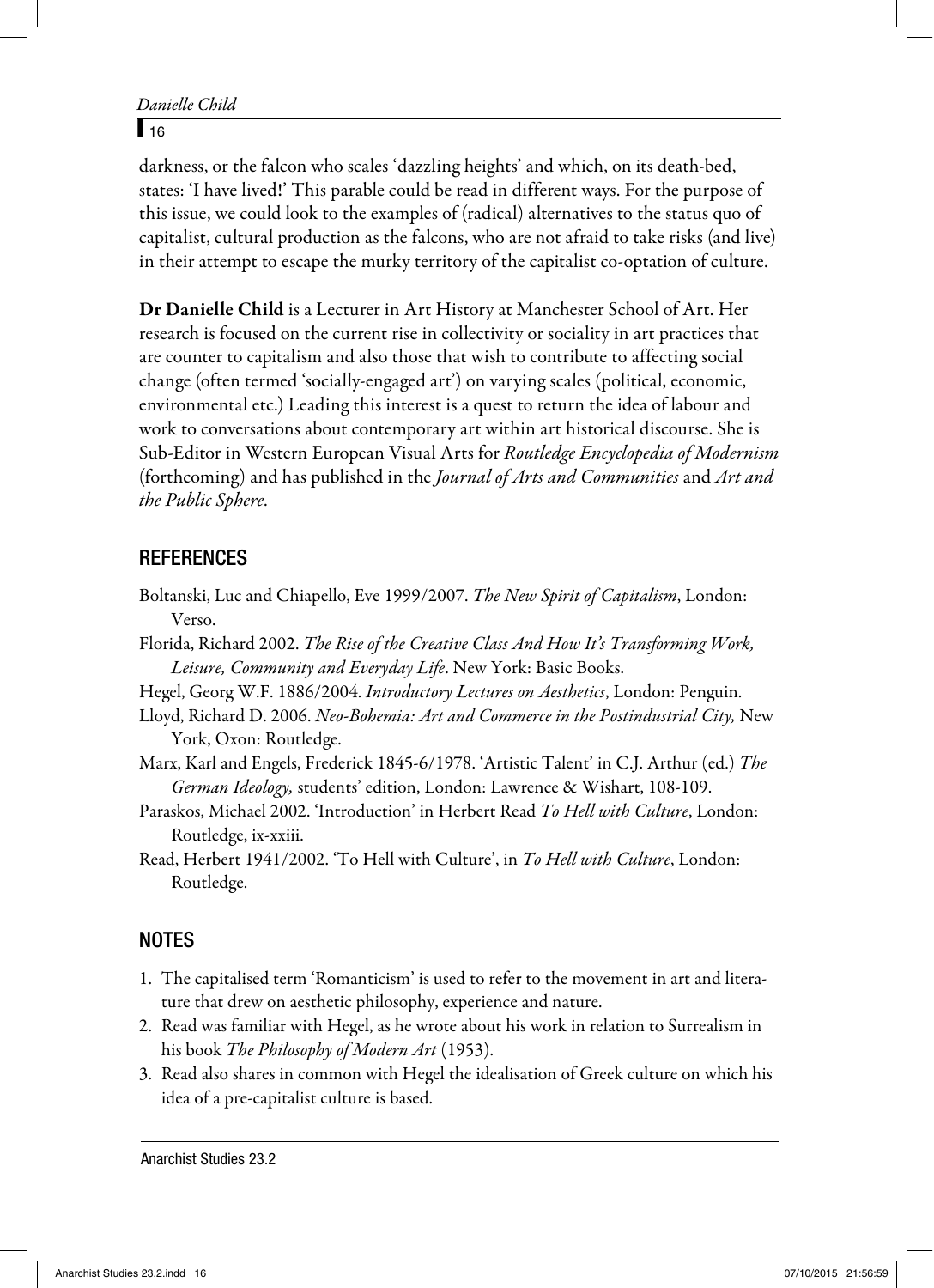```
Danielle Child
```
#### $\sqrt{16}$

darkness, or the falcon who scales 'dazzling heights' and which, on its death-bed, states: 'I have lived!' This parable could be read in different ways. For the purpose of this issue, we could look to the examples of (radical) alternatives to the status quo of capitalist, cultural production as the falcons, who are not afraid to take risks (and live) in their attempt to escape the murky territory of the capitalist co-optation of culture.

Dr Danielle Child is a Lecturer in Art History at Manchester School of Art. Her research is focused on the current rise in collectivity or sociality in art practices that are counter to capitalism and also those that wish to contribute to affecting social change (often termed 'socially-engaged art') on varying scales (political, economic, environmental etc.) Leading this interest is a quest to return the idea of labour and work to conversations about contemporary art within art historical discourse. She is Sub-Editor in Western European Visual Arts for Routledge Encyclopedia of Modernism (forthcoming) and has published in the Journal of Arts and Communities and Art and the Public Sphere.

### **REFERENCES**

- Boltanski, Luc and Chiapello, Eve 1999/2007. The New Spirit of Capitalism, London: Verso.
- Florida, Richard 2002. The Rise of the Creative Class And How It's Transforming Work, Leisure, Community and Everyday Life. New York: Basic Books.
- Hegel, Georg W.F. 1886/2004. Introductory Lectures on Aesthetics, London: Penguin.
- Lloyd, Richard D. 2006. Neo-Bohemia: Art and Commerce in the Postindustrial City, New York, Oxon: Routledge.
- Marx, Karl and Engels, Frederick 1845-6/1978. 'Artistic Talent' in C.J. Arthur (ed.) The German Ideology, students' edition, London: Lawrence & Wishart, 108-109.
- Paraskos, Michael 2002. 'Introduction' in Herbert Read To Hell with Culture, London: Routledge, ix-xxiii.

Read, Herbert 1941/2002. 'To Hell with Culture', in To Hell with Culture, London: Routledge.

## NOTES

- 1. The capitalised term 'Romanticism' is used to refer to the movement in art and literature that drew on aesthetic philosophy, experience and nature.
- 2. Read was familiar with Hegel, as he wrote about his work in relation to Surrealism in his book The Philosophy of Modern Art (1953).
- 3. Read also shares in common with Hegel the idealisation of Greek culture on which his idea of a pre-capitalist culture is based.